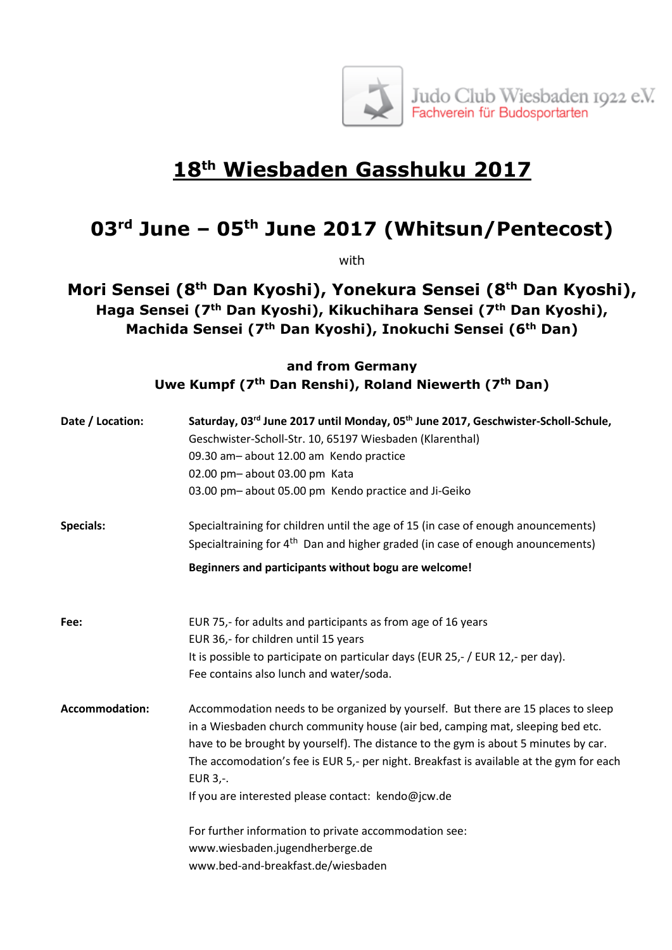

## **18th Wiesbaden Gasshuku 2017**

## **03rd June – 05th June 2017 (Whitsun/Pentecost)**

with

**Mori Sensei (8th Dan Kyoshi), Yonekura Sensei (8 th Dan Kyoshi), Haga Sensei (7th Dan Kyoshi), Kikuchihara Sensei (7th Dan Kyoshi), Machida Sensei (7th Dan Kyoshi), Inokuchi Sensei (6th Dan)**

## **and from Germany Uwe Kumpf (7th Dan Renshi), Roland Niewerth (7th Dan)**

| Date / Location:      | Saturday, 03rd June 2017 until Monday, 05 <sup>th</sup> June 2017, Geschwister-Scholl-Schule,<br>Geschwister-Scholl-Str. 10, 65197 Wiesbaden (Klarenthal)                                                                                                                                                                                                         |
|-----------------------|-------------------------------------------------------------------------------------------------------------------------------------------------------------------------------------------------------------------------------------------------------------------------------------------------------------------------------------------------------------------|
|                       | 09.30 am-about 12.00 am Kendo practice                                                                                                                                                                                                                                                                                                                            |
|                       | 02.00 pm- about 03.00 pm Kata                                                                                                                                                                                                                                                                                                                                     |
|                       | 03.00 pm-about 05.00 pm Kendo practice and Ji-Geiko                                                                                                                                                                                                                                                                                                               |
| <b>Specials:</b>      | Specialtraining for children until the age of 15 (in case of enough anouncements)                                                                                                                                                                                                                                                                                 |
|                       | Specialtraining for 4 <sup>th</sup> Dan and higher graded (in case of enough anouncements)                                                                                                                                                                                                                                                                        |
|                       | Beginners and participants without bogu are welcome!                                                                                                                                                                                                                                                                                                              |
| Fee:                  | EUR 75,- for adults and participants as from age of 16 years                                                                                                                                                                                                                                                                                                      |
|                       | EUR 36,- for children until 15 years                                                                                                                                                                                                                                                                                                                              |
|                       | It is possible to participate on particular days (EUR 25,- / EUR 12,- per day).                                                                                                                                                                                                                                                                                   |
|                       | Fee contains also lunch and water/soda.                                                                                                                                                                                                                                                                                                                           |
| <b>Accommodation:</b> | Accommodation needs to be organized by yourself. But there are 15 places to sleep<br>in a Wiesbaden church community house (air bed, camping mat, sleeping bed etc.<br>have to be brought by yourself). The distance to the gym is about 5 minutes by car.<br>The accomodation's fee is EUR 5,- per night. Breakfast is available at the gym for each<br>EUR 3,-. |
|                       | If you are interested please contact: kendo@jcw.de                                                                                                                                                                                                                                                                                                                |
|                       | For further information to private accommodation see:                                                                                                                                                                                                                                                                                                             |
|                       | www.wiesbaden.jugendherberge.de                                                                                                                                                                                                                                                                                                                                   |
|                       | www.bed-and-breakfast.de/wiesbaden                                                                                                                                                                                                                                                                                                                                |